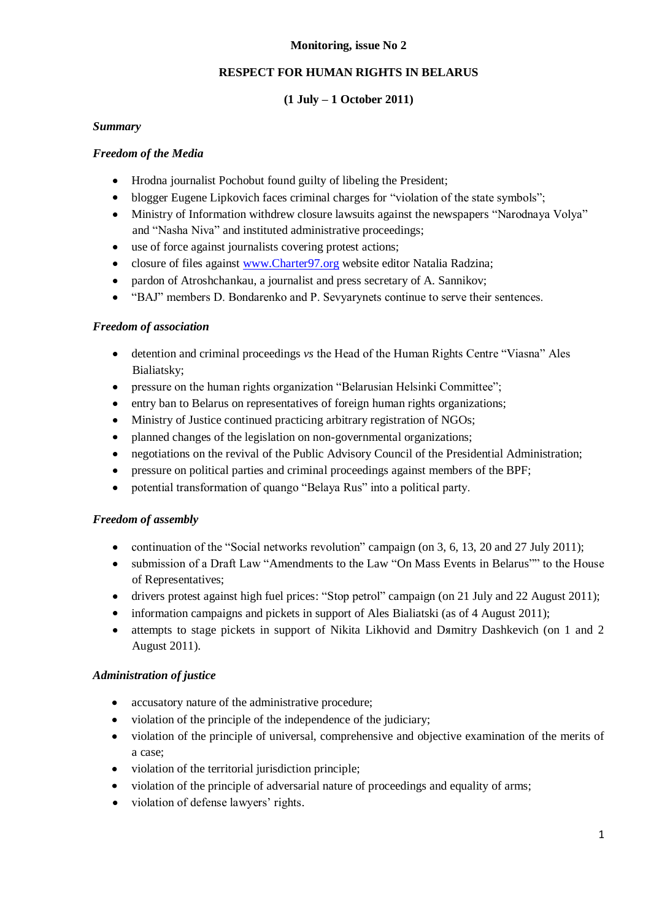## **RESPECT FOR HUMAN RIGHTS IN BELARUS**

## **(1 July – 1 October 2011)**

## *Summary*

## *Freedom of the Media*

- Hrodna journalist Pochobut found guilty of libeling the President;
- blogger Eugene Lipkovich faces criminal charges for "violation of the state symbols";  $\bullet$
- Ministry of Information withdrew closure lawsuits against the newspapers "Narodnaya Volya" and "Nasha Niva" and instituted administrative proceedings;
- use of force against journalists covering protest actions;  $\bullet$
- closure of files against [www.Charter97.org](http://www.charter97.org/) website editor Natalia Radzina;  $\bullet$
- pardon of Atroshchankau, a journalist and press secretary of A. Sannikov;  $\bullet$
- "BAJ" members D. Bondarenko and P. Sevyarynets continue to serve their sentences.  $\bullet$

## *Freedom of association*

- detention and criminal proceedings *vs* the Head of the Human Rights Centre "Viasna" Ales  $\bullet$ Bialiatsky;
- pressure on the human rights organization "Belarusian Helsinki Committee";
- entry ban to Belarus on representatives of foreign human rights organizations;
- Ministry of Justice continued practicing arbitrary registration of NGOs;
- planned changes of the legislation on non-governmental organizations;  $\bullet$
- negotiations on the revival of the Public Advisory Council of the Presidential Administration;  $\bullet$
- pressure on political parties and criminal proceedings against members of the BPF;  $\bullet$
- potential transformation of quango "Belaya Rus" into a political party.  $\bullet$

# *Freedom of assembly*

- continuation of the "Social networks revolution" campaign (on 3, 6, 13, 20 and 27 July 2011);
- submission of a Draft Law "Amendments to the Law "On Mass Events in Belarus"" to the House of Representatives;
- drivers protest against high fuel prices: "Stop petrol" campaign (on 21 July and 22 August 2011);
- information campaigns and pickets in support of Ales Bialiatski (as of 4 August 2011);
- $\bullet$ attempts to stage pickets in support of Nikita Likhovid and Dяmitry Dashkevich (on 1 and 2 August 2011).

# *Administration of justice*

- accusatory nature of the administrative procedure;
- violation of the principle of the independence of the judiciary;
- violation of the principle of universal, comprehensive and objective examination of the merits of a case;
- violation of the territorial jurisdiction principle;
- violation of the principle of adversarial nature of proceedings and equality of arms;
- violation of defense lawyers' rights.  $\bullet$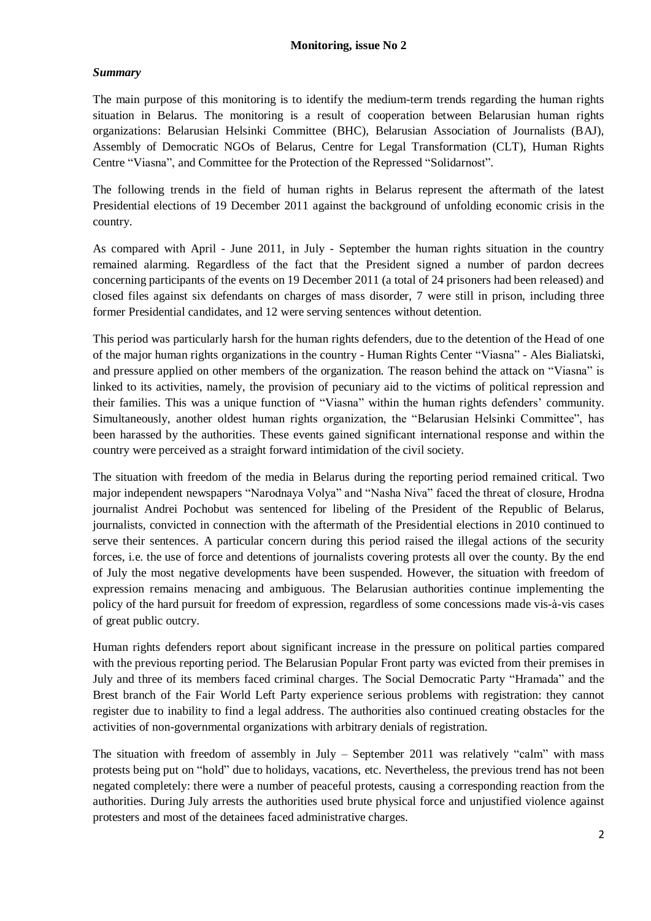# *Summary*

The main purpose of this monitoring is to identify the medium-term trends regarding the human rights situation in Belarus. The monitoring is a result of cooperation between Belarusian human rights organizations: Belarusian Helsinki Committee (BHC), Belarusian Association of Journalists (BAJ), Assembly of Democratic NGOs of Belarus, Centre for Legal Transformation (CLT), Human Rights Centre "Viasna", and Committee for the Protection of the Repressed "Solidarnost".

The following trends in the field of human rights in Belarus represent the aftermath of the latest Presidential elections of 19 December 2011 against the background of unfolding economic crisis in the country.

As compared with April - June 2011, in July - September the human rights situation in the country remained alarming. Regardless of the fact that the President signed a number of pardon decrees concerning participants of the events on 19 December 2011 (a total of 24 prisoners had been released) and closed files against six defendants on charges of mass disorder, 7 were still in prison, including three former Presidential candidates, and 12 were serving sentences without detention.

This period was particularly harsh for the human rights defenders, due to the detention of the Head of one of the major human rights organizations in the country - Human Rights Center "Viasna" - Ales Bialiatski, and pressure applied on other members of the organization. The reason behind the attack on "Viasna" is linked to its activities, namely, the provision of pecuniary aid to the victims of political repression and their families. This was a unique function of "Viasna" within the human rights defenders' community. Simultaneously, another oldest human rights organization, the "Belarusian Helsinki Committee", has been harassed by the authorities. These events gained significant international response and within the country were perceived as a straight forward intimidation of the civil society.

The situation with freedom of the media in Belarus during the reporting period remained critical. Two major independent newspapers "Narodnaya Volya" and "Nasha Niva" faced the threat of closure, Hrodna journalist Andrei Pochobut was sentenced for libeling of the President of the Republic of Belarus, journalists, convicted in connection with the aftermath of the Presidential elections in 2010 continued to serve their sentences. A particular concern during this period raised the illegal actions of the security forces, i.e. the use of force and detentions of journalists covering protests all over the county. By the end of July the most negative developments have been suspended. However, the situation with freedom of expression remains menacing and ambiguous. The Belarusian authorities continue implementing the policy of the hard pursuit for freedom of expression, regardless of some concessions made vis-à-vis cases of great public outcry.

Human rights defenders report about significant increase in the pressure on political parties compared with the previous reporting period. The Belarusian Popular Front party was evicted from their premises in July and three of its members faced criminal charges. The Social Democratic Party "Hramada" and the Brest branch of the Fair World Left Party experience serious problems with registration: they cannot register due to inability to find a legal address. The authorities also continued creating obstacles for the activities of non-governmental organizations with arbitrary denials of registration.

The situation with freedom of assembly in July – September 2011 was relatively "calm" with mass protests being put on "hold" due to holidays, vacations, etc. Nevertheless, the previous trend has not been negated completely: there were a number of peaceful protests, causing a corresponding reaction from the authorities. During July arrests the authorities used brute physical force and unjustified violence against protesters and most of the detainees faced administrative charges.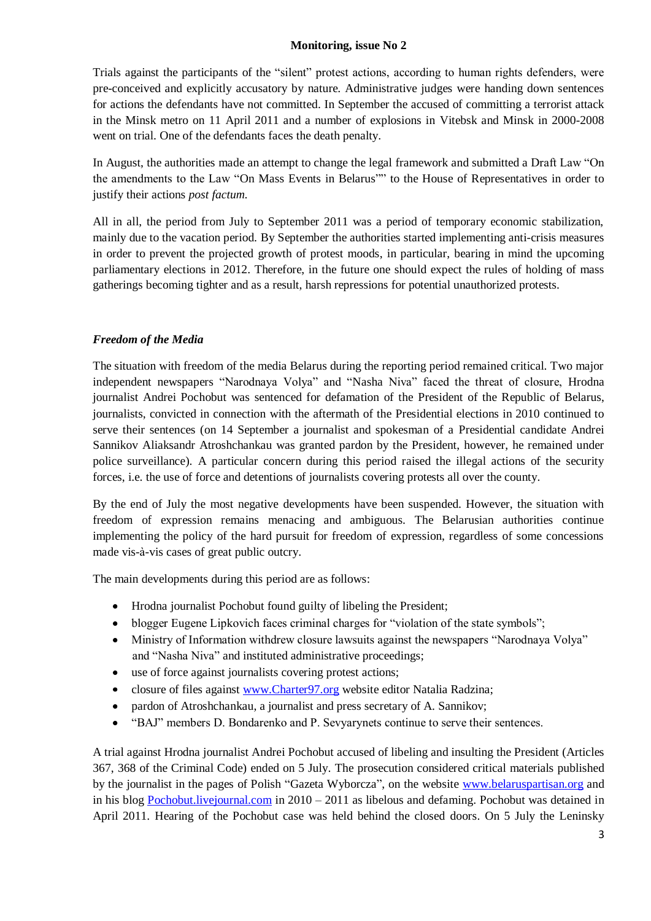Trials against the participants of the "silent" protest actions, according to human rights defenders, were pre-conceived and explicitly accusatory by nature. Administrative judges were handing down sentences for actions the defendants have not committed. In September the accused of committing a terrorist attack in the Minsk metro on 11 April 2011 and a number of explosions in Vitebsk and Minsk in 2000-2008 went on trial. One of the defendants faces the death penalty.

In August, the authorities made an attempt to change the legal framework and submitted a Draft Law "On the amendments to the Law "On Mass Events in Belarus"" to the House of Representatives in order to justify their actions *post factum*.

All in all, the period from July to September 2011 was a period of temporary economic stabilization, mainly due to the vacation period. By September the authorities started implementing anti-crisis measures in order to prevent the projected growth of protest moods, in particular, bearing in mind the upcoming parliamentary elections in 2012. Therefore, in the future one should expect the rules of holding of mass gatherings becoming tighter and as a result, harsh repressions for potential unauthorized protests.

# *Freedom of the Media*

The situation with freedom of the media Belarus during the reporting period remained critical. Two major independent newspapers "Narodnaya Volya" and "Nasha Niva" faced the threat of closure, Hrodna journalist Andrei Pochobut was sentenced for defamation of the President of the Republic of Belarus, journalists, convicted in connection with the aftermath of the Presidential elections in 2010 continued to serve their sentences (on 14 September a journalist and spokesman of a Presidential candidate Andrei Sannikov Aliaksandr Atroshchankau was granted pardon by the President, however, he remained under police surveillance). A particular concern during this period raised the illegal actions of the security forces, i.e. the use of force and detentions of journalists covering protests all over the county.

By the end of July the most negative developments have been suspended. However, the situation with freedom of expression remains menacing and ambiguous. The Belarusian authorities continue implementing the policy of the hard pursuit for freedom of expression, regardless of some concessions made vis-à-vis cases of great public outcry.

The main developments during this period are as follows:

- Hrodna journalist Pochobut found guilty of libeling the President;
- blogger Eugene Lipkovich faces criminal charges for "violation of the state symbols";
- Ministry of Information withdrew closure lawsuits against the newspapers "Narodnaya Volya" and "Nasha Niva" and instituted administrative proceedings;
- $\bullet$ use of force against journalists covering protest actions;
- closure of files against [www.Charter97.org](http://www.charter97.org/) website editor Natalia Radzina;  $\bullet$
- pardon of Atroshchankau, a journalist and press secretary of A. Sannikov;
- $\bullet$ "BAJ" members D. Bondarenko and P. Sevyarynets continue to serve their sentences.

A trial against Hrodna journalist Andrei Pochobut accused of libeling and insulting the President (Articles 367, 368 of the Criminal Code) ended on 5 July. The prosecution considered critical materials published by the journalist in the pages of Polish "Gazeta Wyborcza", on the website [www.belaruspartisan.org](http://www.belaruspartisan.org/) and in his blog [Pochobut.livejournal.com](http://www.poczobut.livejournal.com/) in 2010 – 2011 as libelous and defaming. Pochobut was detained in April 2011. Hearing of the Pochobut case was held behind the closed doors. On 5 July the Leninsky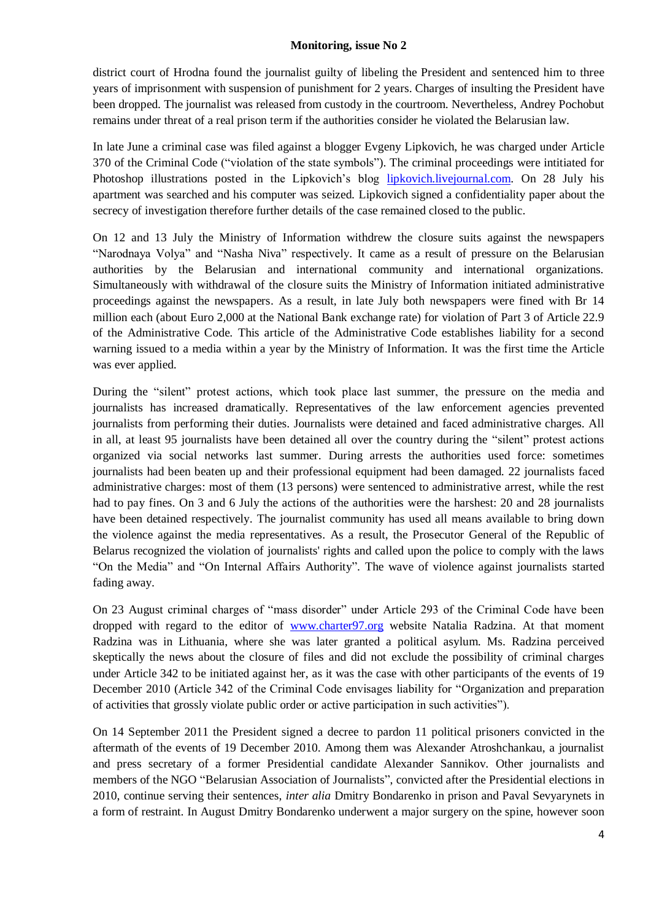district court of Hrodna found the journalist guilty of libeling the President and sentenced him to three years of imprisonment with suspension of punishment for 2 years. Charges of insulting the President have been dropped. The journalist was released from custody in the courtroom. Nevertheless, Andrey Pochobut remains under threat of a real prison term if the authorities consider he violated the Belarusian law.

In late June a criminal case was filed against a blogger Evgeny Lipkovich, he was charged under Article 370 of the Criminal Code ("violation of the state symbols"). The criminal proceedings were intitiated for Photoshop illustrations posted in the Lipkovich's blog [lipkovich.livejournal.com.](http://www.lipkovich.livejournal.com/) On 28 July his apartment was searched and his computer was seized. Lipkovich signed a confidentiality paper about the secrecy of investigation therefore further details of the case remained closed to the public.

On 12 and 13 July the Ministry of Information withdrew the closure suits against the newspapers "Narodnaya Volya" and "Nasha Niva" respectively. It came as a result of pressure on the Belarusian authorities by the Belarusian and international community and international organizations. Simultaneously with withdrawal of the closure suits the Ministry of Information initiated administrative proceedings against the newspapers. As a result, in late July both newspapers were fined with Br 14 million each (about Euro 2,000 at the National Bank exchange rate) for violation of Part 3 of Article 22.9 of the Administrative Code. This article of the Administrative Code establishes liability for a second warning issued to a media within a year by the Ministry of Information. It was the first time the Article was ever applied.

During the "silent" protest actions, which took place last summer, the pressure on the media and journalists has increased dramatically. Representatives of the law enforcement agencies prevented journalists from performing their duties. Journalists were detained and faced administrative charges. All in all, at least 95 journalists have been detained all over the country during the "silent" protest actions organized via social networks last summer. During arrests the authorities used force: sometimes journalists had been beaten up and their professional equipment had been damaged. 22 journalists faced administrative charges: most of them (13 persons) were sentenced to administrative arrest, while the rest had to pay fines. On 3 and 6 July the actions of the authorities were the harshest: 20 and 28 journalists have been detained respectively. The journalist community has used all means available to bring down the violence against the media representatives. As a result, the Prosecutor General of the Republic of Belarus recognized the violation of journalists' rights and called upon the police to comply with the laws "On the Media" and "On Internal Affairs Authority". The wave of violence against journalists started fading away.

On 23 August criminal charges of "mass disorder" under Article 293 of the Criminal Code have been dropped with regard to the editor of [www.charter97.org](http://www.charter97.org/) website Natalia Radzina. At that moment Radzina was in Lithuania, where she was later granted a political asylum. Ms. Radzina perceived skeptically the news about the closure of files and did not exclude the possibility of criminal charges under Article 342 to be initiated against her, as it was the case with other participants of the events of 19 December 2010 (Article 342 of the Criminal Code envisages liability for "Organization and preparation of activities that grossly violate public order or active participation in such activities").

On 14 September 2011 the President signed a decree to pardon 11 political prisoners convicted in the aftermath of the events of 19 December 2010. Among them was Alexander Atroshchankau, a journalist and press secretary of a former Presidential candidate Alexander Sannikov. Other journalists and members of the NGO "Belarusian Association of Journalists", convicted after the Presidential elections in 2010, continue serving their sentences, *inter alia* Dmitry Bondarenko in prison and Paval Sevyarynets in a form of restraint. In August Dmitry Bondarenko underwent a major surgery on the spine, however soon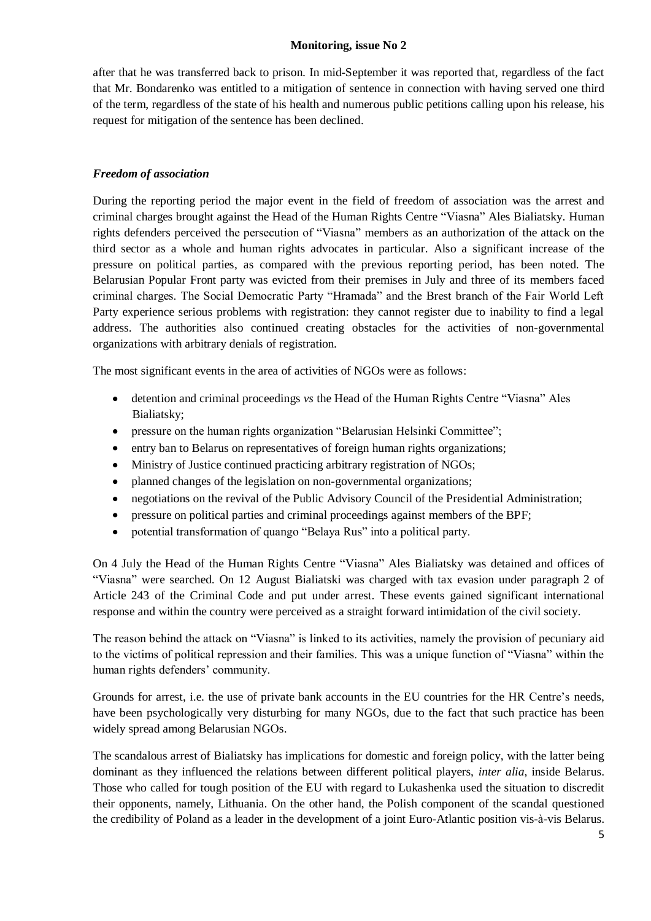after that he was transferred back to prison. In mid-September it was reported that, regardless of the fact that Mr. Bondarenko was entitled to a mitigation of sentence in connection with having served one third of the term, regardless of the state of his health and numerous public petitions calling upon his release, his request for mitigation of the sentence has been declined.

# *Freedom of association*

During the reporting period the major event in the field of freedom of association was the arrest and criminal charges brought against the Head of the Human Rights Centre "Viasna" Ales Bialiatsky. Human rights defenders perceived the persecution of "Viasna" members as an authorization of the attack on the third sector as a whole and human rights advocates in particular. Also a significant increase of the pressure on political parties, as compared with the previous reporting period, has been noted. The Belarusian Popular Front party was evicted from their premises in July and three of its members faced criminal charges. The Social Democratic Party "Hramada" and the Brest branch of the Fair World Left Party experience serious problems with registration: they cannot register due to inability to find a legal address. The authorities also continued creating obstacles for the activities of non-governmental organizations with arbitrary denials of registration.

The most significant events in the area of activities of NGOs were as follows:

- detention and criminal proceedings *vs* the Head of the Human Rights Centre "Viasna" Ales  $\bullet$ Bialiatsky;
- pressure on the human rights organization "Belarusian Helsinki Committee";
- entry ban to Belarus on representatives of foreign human rights organizations;
- Ministry of Justice continued practicing arbitrary registration of NGOs;  $\bullet$
- planned changes of the legislation on non-governmental organizations;
- negotiations on the revival of the Public Advisory Council of the Presidential Administration;  $\bullet$
- pressure on political parties and criminal proceedings against members of the BPF;  $\bullet$
- $\bullet$ potential transformation of quango "Belaya Rus" into a political party.

On 4 July the Head of the Human Rights Centre "Viasna" Ales Bialiatsky was detained and offices of "Viasna" were searched. On 12 August Bialiatski was charged with tax evasion under paragraph 2 of Article 243 of the Criminal Code and put under arrest. These events gained significant international response and within the country were perceived as a straight forward intimidation of the civil society.

The reason behind the attack on "Viasna" is linked to its activities, namely the provision of pecuniary aid to the victims of political repression and their families. This was a unique function of "Viasna" within the human rights defenders' community.

Grounds for arrest, i.e. the use of private bank accounts in the EU countries for the HR Centre's needs, have been psychologically very disturbing for many NGOs, due to the fact that such practice has been widely spread among Belarusian NGOs.

The scandalous arrest of Bialiatsky has implications for domestic and foreign policy, with the latter being dominant as they influenced the relations between different political players, *inter alia*, inside Belarus. Those who called for tough position of the EU with regard to Lukashenka used the situation to discredit their opponents, namely, Lithuania. On the other hand, the Polish component of the scandal questioned the credibility of Poland as a leader in the development of a joint Euro-Atlantic position vis-à-vis Belarus.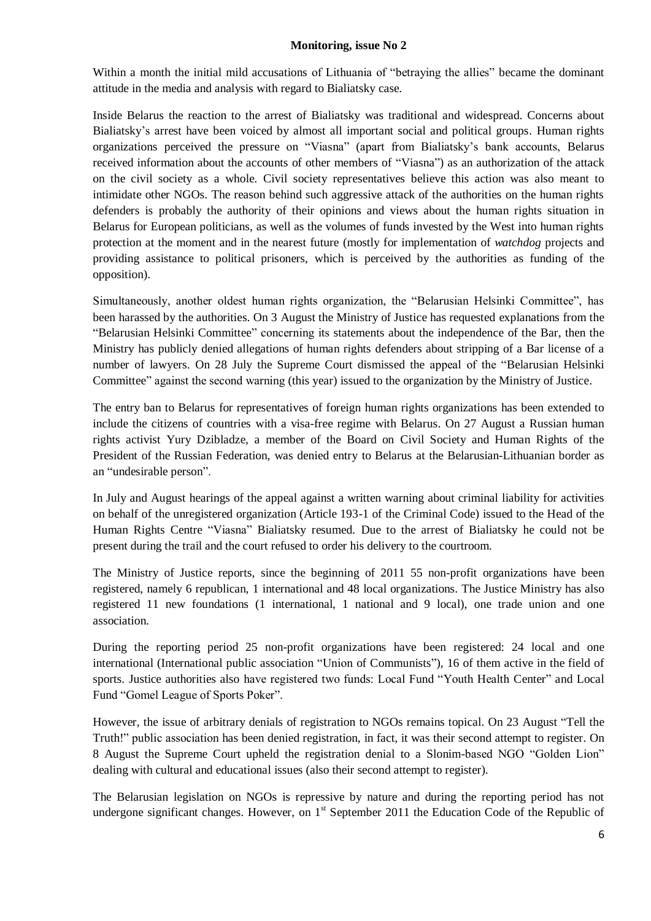Within a month the initial mild accusations of Lithuania of "betraying the allies" became the dominant attitude in the media and analysis with regard to Bialiatsky case.

Inside Belarus the reaction to the arrest of Bialiatsky was traditional and widespread. Concerns about Bialiatsky's arrest have been voiced by almost all important social and political groups. Human rights organizations perceived the pressure on "Viasna" (apart from Bialiatsky's bank accounts, Belarus received information about the accounts of other members of "Viasna") as an authorization of the attack on the civil society as a whole. Civil society representatives believe this action was also meant to intimidate other NGOs. The reason behind such aggressive attack of the authorities on the human rights defenders is probably the authority of their opinions and views about the human rights situation in Belarus for European politicians, as well as the volumes of funds invested by the West into human rights protection at the moment and in the nearest future (mostly for implementation of *watchdog* projects and providing assistance to political prisoners, which is perceived by the authorities as funding of the opposition).

Simultaneously, another oldest human rights organization, the "Belarusian Helsinki Committee", has been harassed by the authorities. On 3 August the Ministry of Justice has requested explanations from the "Belarusian Helsinki Committee" concerning its statements about the independence of the Bar, then the Ministry has publicly denied allegations of human rights defenders about stripping of a Bar license of a number of lawyers. On 28 July the Supreme Court dismissed the appeal of the "Belarusian Helsinki Committee" against the second warning (this year) issued to the organization by the Ministry of Justice.

The entry ban to Belarus for representatives of foreign human rights organizations has been extended to include the citizens of countries with a visa-free regime with Belarus. On 27 August a Russian human rights activist Yury Dzibladze, a member of the Board on Civil Society and Human Rights of the President of the Russian Federation, was denied entry to Belarus at the Belarusian-Lithuanian border as an "undesirable person".

In July and August hearings of the appeal against a written warning about criminal liability for activities on behalf of the unregistered organization (Article 193-1 of the Criminal Code) issued to the Head of the Human Rights Centre "Viasna" Bialiatsky resumed. Due to the arrest of Bialiatsky he could not be present during the trail and the court refused to order his delivery to the courtroom.

The Ministry of Justice reports, since the beginning of 2011 55 non-profit organizations have been registered, namely 6 republican, 1 international and 48 local organizations. The Justice Ministry has also registered 11 new foundations (1 international, 1 national and 9 local), one trade union and one association.

During the reporting period 25 non-profit organizations have been registered: 24 local and one international (International public association "Union of Communists"), 16 of them active in the field of sports. Justice authorities also have registered two funds: Local Fund "Youth Health Center" and Local Fund "Gomel League of Sports Poker".

However, the issue of arbitrary denials of registration to NGOs remains topical. On 23 August "Tell the Truth!" public association has been denied registration, in fact, it was their second attempt to register. On 8 August the Supreme Court upheld the registration denial to a Slonim-based NGO "Golden Lion" dealing with cultural and educational issues (also their second attempt to register).

The Belarusian legislation on NGOs is repressive by nature and during the reporting period has not undergone significant changes. However, on  $1<sup>st</sup>$  September 2011 the Education Code of the Republic of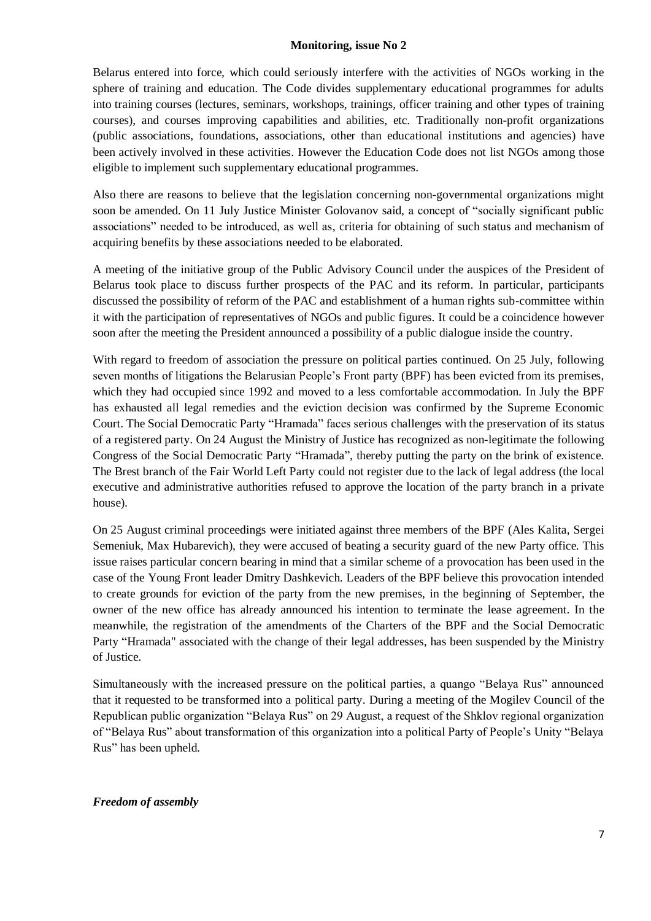Belarus entered into force, which could seriously interfere with the activities of NGOs working in the sphere of training and education. The Code divides supplementary educational programmes for adults into training courses (lectures, seminars, workshops, trainings, officer training and other types of training courses), and courses improving capabilities and abilities, etc. Traditionally non-profit organizations (public associations, foundations, associations, other than educational institutions and agencies) have been actively involved in these activities. However the Education Code does not list NGOs among those eligible to implement such supplementary educational programmes.

Also there are reasons to believe that the legislation concerning non-governmental organizations might soon be amended. On 11 July Justice Minister Golovanov said, a concept of "socially significant public associations" needed to be introduced, as well as, criteria for obtaining of such status and mechanism of acquiring benefits by these associations needed to be elaborated.

A meeting of the initiative group of the Public Advisory Council under the auspices of the President of Belarus took place to discuss further prospects of the PAC and its reform. In particular, participants discussed the possibility of reform of the PAC and establishment of a human rights sub-committee within it with the participation of representatives of NGOs and public figures. It could be a coincidence however soon after the meeting the President announced a possibility of a public dialogue inside the country.

With regard to freedom of association the pressure on political parties continued. On 25 July, following seven months of litigations the Belarusian People's Front party (BPF) has been evicted from its premises, which they had occupied since 1992 and moved to a less comfortable accommodation. In July the BPF has exhausted all legal remedies and the eviction decision was confirmed by the Supreme Economic Court. The Social Democratic Party "Hramada" faces serious challenges with the preservation of its status of a registered party. On 24 August the Ministry of Justice has recognized as non-legitimate the following Congress of the Social Democratic Party "Hramada", thereby putting the party on the brink of existence. The Brest branch of the Fair World Left Party could not register due to the lack of legal address (the local executive and administrative authorities refused to approve the location of the party branch in a private house).

On 25 August criminal proceedings were initiated against three members of the BPF (Ales Kalita, Sergei Semeniuk, Max Hubarevich), they were accused of beating a security guard of the new Party office. This issue raises particular concern bearing in mind that a similar scheme of a provocation has been used in the case of the Young Front leader Dmitry Dashkevich. Leaders of the BPF believe this provocation intended to create grounds for eviction of the party from the new premises, in the beginning of September, the owner of the new office has already announced his intention to terminate the lease agreement. In the meanwhile, the registration of the amendments of the Charters of the BPF and the Social Democratic Party "Hramada" associated with the change of their legal addresses, has been suspended by the Ministry of Justice.

Simultaneously with the increased pressure on the political parties, a quango "Belaya Rus" announced that it requested to be transformed into a political party. During a meeting of the Mogilev Council of the Republican public organization "Belaya Rus" on 29 August, a request of the Shklov regional organization of "Belaya Rus" about transformation of this organization into a political Party of People's Unity "Belaya Rus" has been upheld.

#### *Freedom of assembly*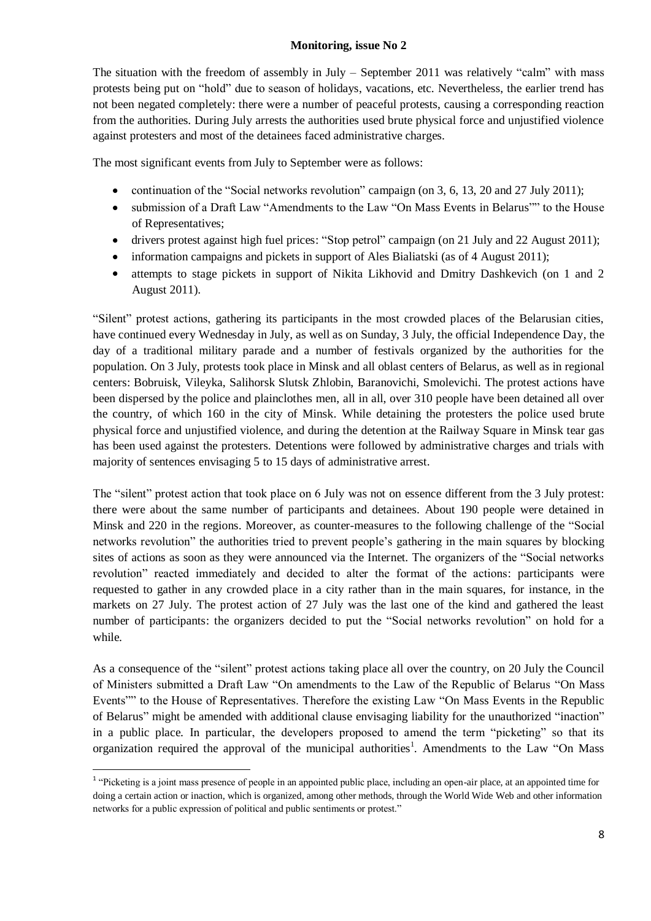The situation with the freedom of assembly in July – September 2011 was relatively "calm" with mass protests being put on "hold" due to season of holidays, vacations, etc. Nevertheless, the earlier trend has not been negated completely: there were a number of peaceful protests, causing a corresponding reaction from the authorities. During July arrests the authorities used brute physical force and unjustified violence against protesters and most of the detainees faced administrative charges.

The most significant events from July to September were as follows:

- continuation of the "Social networks revolution" campaign (on 3, 6, 13, 20 and 27 July 2011);
- submission of a Draft Law "Amendments to the Law "On Mass Events in Belarus"" to the House of Representatives;
- drivers protest against high fuel prices: "Stop petrol" campaign (on 21 July and 22 August 2011);
- information campaigns and pickets in support of Ales Bialiatski (as of 4 August 2011);
- attempts to stage pickets in support of Nikita Likhovid and Dmitry Dashkevich (on 1 and 2  $\bullet$ August 2011).

"Silent" protest actions, gathering its participants in the most crowded places of the Belarusian cities, have continued every Wednesday in July, as well as on Sunday, 3 July, the official Independence Day, the day of a traditional military parade and a number of festivals organized by the authorities for the population. On 3 July, protests took place in Minsk and all oblast centers of Belarus, as well as in regional centers: Bobruisk, Vileyka, Salihorsk Slutsk Zhlobin, Baranovichi, Smolevichi. The protest actions have been dispersed by the police and plainclothes men, all in all, over 310 people have been detained all over the country, of which 160 in the city of Minsk. While detaining the protesters the police used brute physical force and unjustified violence, and during the detention at the Railway Square in Minsk tear gas has been used against the protesters. Detentions were followed by administrative charges and trials with majority of sentences envisaging 5 to 15 days of administrative arrest.

The "silent" protest action that took place on 6 July was not on essence different from the 3 July protest: there were about the same number of participants and detainees. About 190 people were detained in Minsk and 220 in the regions. Moreover, as counter-measures to the following challenge of the "Social networks revolution" the authorities tried to prevent people's gathering in the main squares by blocking sites of actions as soon as they were announced via the Internet. The organizers of the "Social networks revolution" reacted immediately and decided to alter the format of the actions: participants were requested to gather in any crowded place in a city rather than in the main squares, for instance, in the markets on 27 July. The protest action of 27 July was the last one of the kind and gathered the least number of participants: the organizers decided to put the "Social networks revolution" on hold for a while.

As a consequence of the "silent" protest actions taking place all over the country, on 20 July the Council of Ministers submitted a Draft Law "On amendments to the Law of the Republic of Belarus "On Mass Events"" to the House of Representatives. Therefore the existing Law "On Mass Events in the Republic of Belarus" might be amended with additional clause envisaging liability for the unauthorized "inaction" in a public place. In particular, the developers proposed to amend the term "picketing" so that its organization required the approval of the municipal authorities<sup>1</sup>. Amendments to the Law "On Mass

1

<sup>&</sup>lt;sup>1</sup> "Picketing is a joint mass presence of people in an appointed public place, including an open-air place, at an appointed time for doing a certain action or inaction, which is organized, among other methods, through the World Wide Web and other information networks for a public expression of political and public sentiments or protest."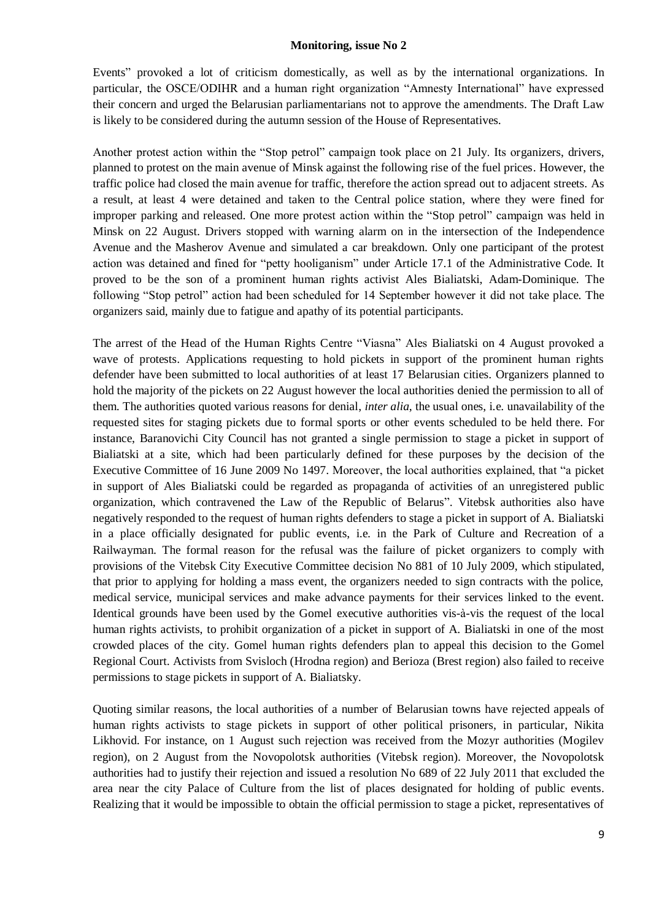Events" provoked a lot of criticism domestically, as well as by the international organizations. In particular, the OSCE/ODIHR and a human right organization "Amnesty International" have expressed their concern and urged the Belarusian parliamentarians not to approve the amendments. The Draft Law is likely to be considered during the autumn session of the House of Representatives.

Another protest action within the "Stop petrol" campaign took place on 21 July. Its organizers, drivers, planned to protest on the main avenue of Minsk against the following rise of the fuel prices. However, the traffic police had closed the main avenue for traffic, therefore the action spread out to adjacent streets. As a result, at least 4 were detained and taken to the Central police station, where they were fined for improper parking and released. One more protest action within the "Stop petrol" campaign was held in Minsk on 22 August. Drivers stopped with warning alarm on in the intersection of the Independence Avenue and the Masherov Avenue and simulated a car breakdown. Only one participant of the protest action was detained and fined for "petty hooliganism" under Article 17.1 of the Administrative Code. It proved to be the son of a prominent human rights activist Ales Bialiatski, Adam-Dominique. The following "Stop petrol" action had been scheduled for 14 September however it did not take place. The organizers said, mainly due to fatigue and apathy of its potential participants.

The arrest of the Head of the Human Rights Centre "Viasna" Ales Bialiatski on 4 August provoked a wave of protests. Applications requesting to hold pickets in support of the prominent human rights defender have been submitted to local authorities of at least 17 Belarusian cities. Organizers planned to hold the majority of the pickets on 22 August however the local authorities denied the permission to all of them. The authorities quoted various reasons for denial, *inter alia*, the usual ones, i.e. unavailability of the requested sites for staging pickets due to formal sports or other events scheduled to be held there. For instance, Baranovichi City Council has not granted a single permission to stage a picket in support of Bialiatski at a site, which had been particularly defined for these purposes by the decision of the Executive Committee of 16 June 2009 No 1497. Moreover, the local authorities explained, that "a picket in support of Ales Bialiatski could be regarded as propaganda of activities of an unregistered public organization, which contravened the Law of the Republic of Belarus". Vitebsk authorities also have negatively responded to the request of human rights defenders to stage a picket in support of A. Bialiatski in a place officially designated for public events, i.e. in the Park of Culture and Recreation of a Railwayman. The formal reason for the refusal was the failure of picket organizers to comply with provisions of the Vitebsk City Executive Committee decision No 881 of 10 July 2009, which stipulated, that prior to applying for holding a mass event, the organizers needed to sign contracts with the police, medical service, municipal services and make advance payments for their services linked to the event. Identical grounds have been used by the Gomel executive authorities vis-à-vis the request of the local human rights activists, to prohibit organization of a picket in support of A. Bialiatski in one of the most crowded places of the city. Gomel human rights defenders plan to appeal this decision to the Gomel Regional Court. Activists from Svisloch (Hrodna region) and Berioza (Brest region) also failed to receive permissions to stage pickets in support of A. Bialiatsky.

Quoting similar reasons, the local authorities of a number of Belarusian towns have rejected appeals of human rights activists to stage pickets in support of other political prisoners, in particular, Nikita Likhovid. For instance, on 1 August such rejection was received from the Mozyr authorities (Mogilev region), on 2 August from the Novopolotsk authorities (Vitebsk region). Moreover, the Novopolotsk authorities had to justify their rejection and issued a resolution No 689 of 22 July 2011 that excluded the area near the city Palace of Culture from the list of places designated for holding of public events. Realizing that it would be impossible to obtain the official permission to stage a picket, representatives of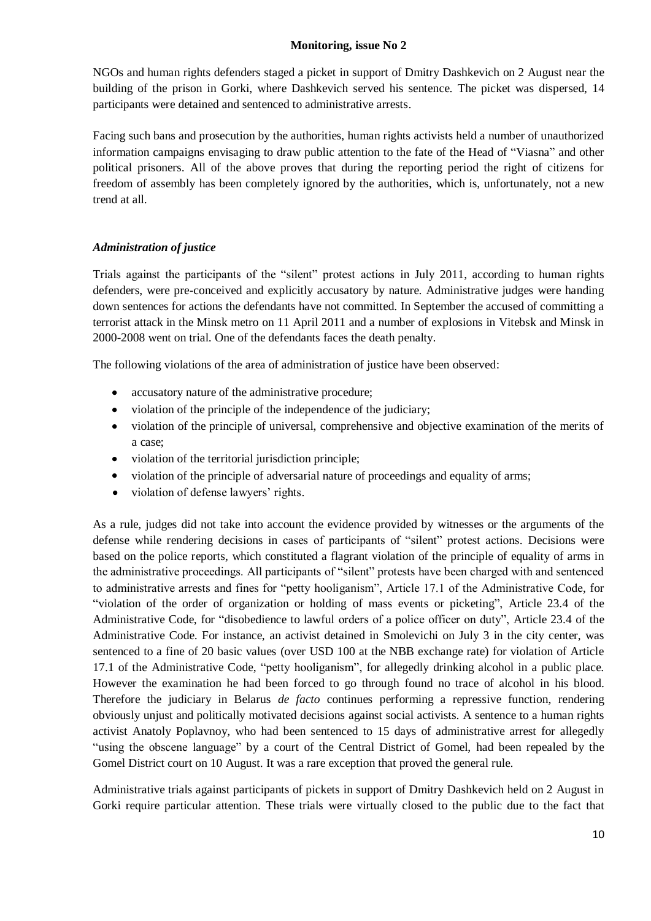NGOs and human rights defenders staged a picket in support of Dmitry Dashkevich on 2 August near the building of the prison in Gorki, where Dashkevich served his sentence. The picket was dispersed, 14 participants were detained and sentenced to administrative arrests.

Facing such bans and prosecution by the authorities, human rights activists held a number of unauthorized information campaigns envisaging to draw public attention to the fate of the Head of "Viasna" and other political prisoners. All of the above proves that during the reporting period the right of citizens for freedom of assembly has been completely ignored by the authorities, which is, unfortunately, not a new trend at all.

# *Administration of justice*

Trials against the participants of the "silent" protest actions in July 2011, according to human rights defenders, were pre-conceived and explicitly accusatory by nature. Administrative judges were handing down sentences for actions the defendants have not committed. In September the accused of committing a terrorist attack in the Minsk metro on 11 April 2011 and a number of explosions in Vitebsk and Minsk in 2000-2008 went on trial. One of the defendants faces the death penalty.

The following violations of the area of administration of justice have been observed:

- accusatory nature of the administrative procedure;
- violation of the principle of the independence of the judiciary;
- violation of the principle of universal, comprehensive and objective examination of the merits of a case;
- violation of the territorial jurisdiction principle;
- violation of the principle of adversarial nature of proceedings and equality of arms;  $\bullet$
- violation of defense lawyers' rights.  $\bullet$

As a rule, judges did not take into account the evidence provided by witnesses or the arguments of the defense while rendering decisions in cases of participants of "silent" protest actions. Decisions were based on the police reports, which constituted a flagrant violation of the principle of equality of arms in the administrative proceedings. All participants of "silent" protests have been charged with and sentenced to administrative arrests and fines for "petty hooliganism", Article 17.1 of the Administrative Code, for "violation of the order of organization or holding of mass events or picketing", Article 23.4 of the Administrative Code, for "disobedience to lawful orders of a police officer on duty", Article 23.4 of the Administrative Code. For instance, an activist detained in Smolevichi on July 3 in the city center, was sentenced to a fine of 20 basic values (over USD 100 at the NBB exchange rate) for violation of Article 17.1 of the Administrative Code, "petty hooliganism", for allegedly drinking alcohol in a public place. However the examination he had been forced to go through found no trace of alcohol in his blood. Therefore the judiciary in Belarus *de facto* continues performing a repressive function, rendering obviously unjust and politically motivated decisions against social activists. A sentence to a human rights activist Anatoly Poplavnoy, who had been sentenced to 15 days of administrative arrest for allegedly "using the obscene language" by a court of the Central District of Gomel, had been repealed by the Gomel District court on 10 August. It was a rare exception that proved the general rule.

Administrative trials against participants of pickets in support of Dmitry Dashkevich held on 2 August in Gorki require particular attention. These trials were virtually closed to the public due to the fact that